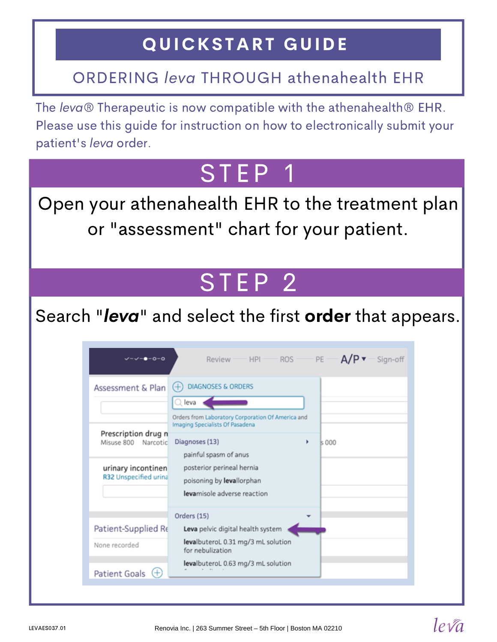### QUICKSTART GUIDE

#### ORDERING leva THROUGH athenahealth EHR

The leva® Therapeutic is now compatible with the athenahealth® EHR. Please use this guide for instruction on how to electronically submit your patient's leva order.

## STEP 1

Open your athenahealth EHR to the treatment plan or "assessment" chart for your patient.

# STEP<sub>2</sub>

Search "leva" and select the first order that appears.

| Assessment & Plan                          | <b>DIAGNOSES &amp; ORDERS</b><br>$(+)$                                               |      |
|--------------------------------------------|--------------------------------------------------------------------------------------|------|
|                                            | $\mathbb Q$ leva                                                                     |      |
|                                            | Orders from Laboratory Corporation Of America and<br>Imaging Specialists Of Pasadena |      |
| Prescription drug n<br>Misuse 800 Narcotic | Diagnoses (13)                                                                       | s000 |
|                                            | painful spasm of anus                                                                |      |
| urinary incontinen                         | posterior perineal hernia                                                            |      |
| R32 Unspecified urina                      | poisoning by levallorphan                                                            |      |
|                                            | levamisole adverse reaction                                                          |      |
|                                            | Orders (15)                                                                          |      |
| Patient-Supplied Re                        | Leva pelvic digital health system                                                    |      |
| None recorded                              | levalbuteroL 0.31 mg/3 mL solution<br>for nebulization                               |      |
|                                            | levalbuteroL 0.63 mg/3 mL solution                                                   |      |

 $leq\sqrt{a}$